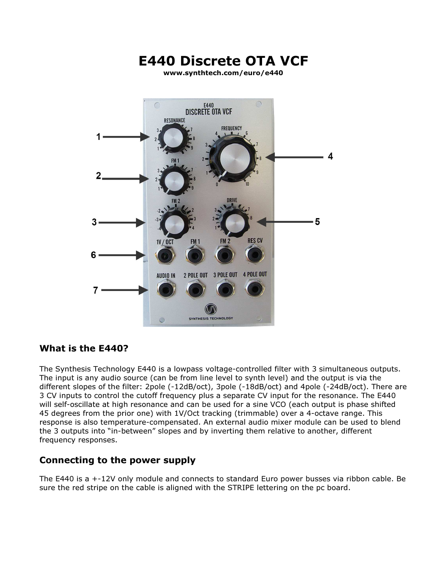

## What is the E440?

The Synthesis Technology E440 is a lowpass voltage-controlled filter with 3 simultaneous outputs. The input is any audio source (can be from line level to synth level) and the output is via the different slopes of the filter: 2pole (-12dB/oct), 3pole (-18dB/oct) and 4pole (-24dB/oct). There are 3 CV inputs to control the cutoff frequency plus a separate CV input for the resonance. The E440 will self-oscillate at high resonance and can be used for a sine VCO (each output is phase shifted 45 degrees from the prior one) with 1V/Oct tracking (trimmable) over a 4-octave range. This response is also temperature-compensated. An external audio mixer module can be used to blend the 3 outputs into "in-between" slopes and by inverting them relative to another, different frequency responses.

## Connecting to the power supply

The E440 is a +-12V only module and connects to standard Euro power busses via ribbon cable. Be sure the red stripe on the cable is aligned with the STRIPE lettering on the pc board.